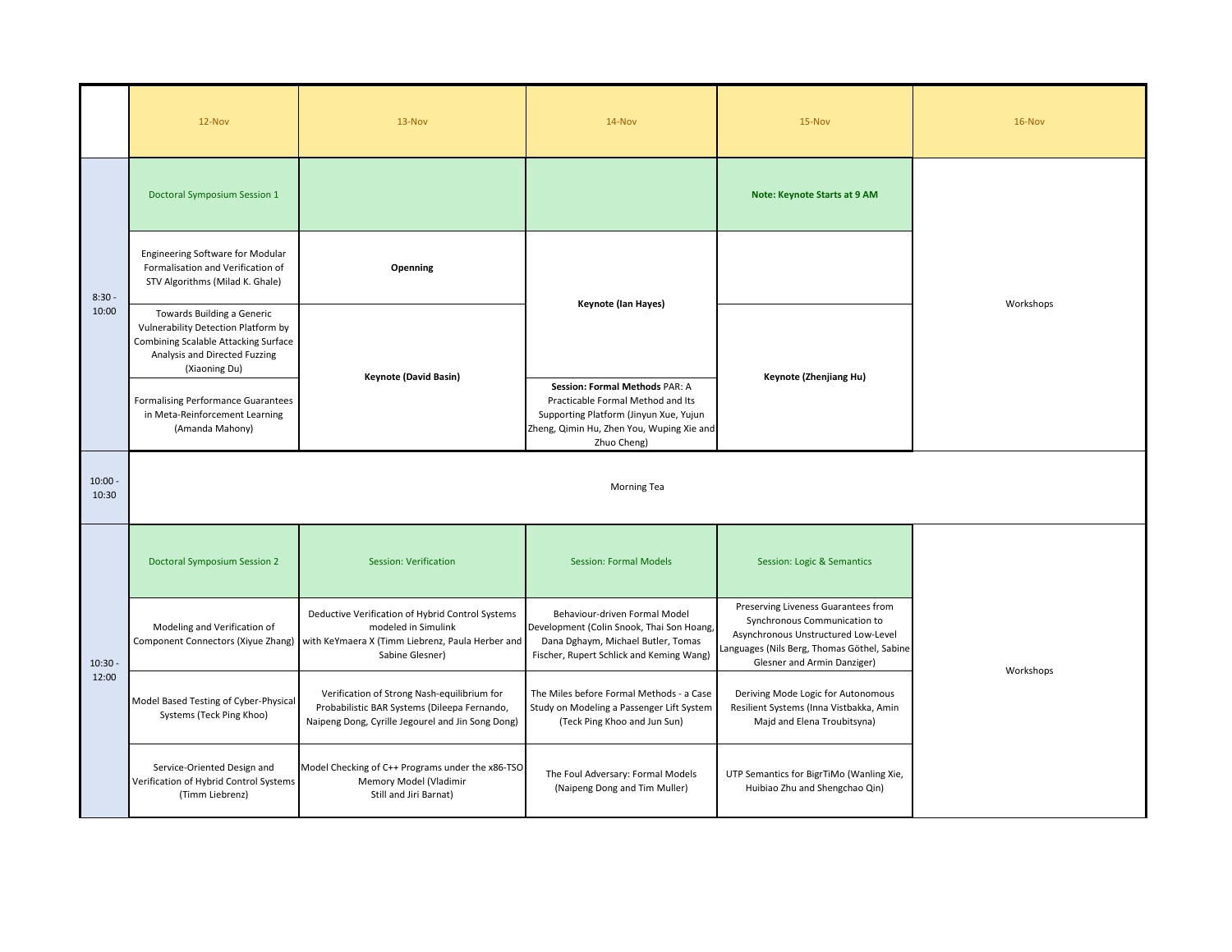|                    | 12-Nov                                                                                                                                                      | 13-Nov                                                                                                                                                                            | 14-Nov                                                                                                                                                                    | 15-Nov                                                                                                                                                                                  | 16-Nov    |  |  |
|--------------------|-------------------------------------------------------------------------------------------------------------------------------------------------------------|-----------------------------------------------------------------------------------------------------------------------------------------------------------------------------------|---------------------------------------------------------------------------------------------------------------------------------------------------------------------------|-----------------------------------------------------------------------------------------------------------------------------------------------------------------------------------------|-----------|--|--|
| $8:30 -$<br>10:00  | Doctoral Symposium Session 1                                                                                                                                |                                                                                                                                                                                   |                                                                                                                                                                           | <b>Note: Keynote Starts at 9 AM</b>                                                                                                                                                     | Workshops |  |  |
|                    | Engineering Software for Modular<br>Formalisation and Verification of<br>STV Algorithms (Milad K. Ghale)                                                    | Openning                                                                                                                                                                          | <b>Keynote (lan Hayes)</b>                                                                                                                                                |                                                                                                                                                                                         |           |  |  |
|                    | Towards Building a Generic<br>Vulnerability Detection Platform by<br>Combining Scalable Attacking Surface<br>Analysis and Directed Fuzzing<br>(Xiaoning Du) | <b>Keynote (David Basin)</b>                                                                                                                                                      |                                                                                                                                                                           | Keynote (Zhenjiang Hu)                                                                                                                                                                  |           |  |  |
|                    | <b>Formalising Performance Guarantees</b><br>in Meta-Reinforcement Learning<br>(Amanda Mahony)                                                              |                                                                                                                                                                                   | Session: Formal Methods PAR: A<br>Practicable Formal Method and Its<br>Supporting Platform (Jinyun Xue, Yujun<br>Zheng, Qimin Hu, Zhen You, Wuping Xie and<br>Zhuo Cheng) |                                                                                                                                                                                         |           |  |  |
| $10:00 -$<br>10:30 | Morning Tea                                                                                                                                                 |                                                                                                                                                                                   |                                                                                                                                                                           |                                                                                                                                                                                         |           |  |  |
| $10:30 -$<br>12:00 | <b>Doctoral Symposium Session 2</b>                                                                                                                         | Session: Verification                                                                                                                                                             | <b>Session: Formal Models</b>                                                                                                                                             | Session: Logic & Semantics                                                                                                                                                              | Workshops |  |  |
|                    | Modeling and Verification of                                                                                                                                | Deductive Verification of Hybrid Control Systems<br>modeled in Simulink<br>Component Connectors (Xiyue Zhang) with KeYmaera X (Timm Liebrenz, Paula Herber and<br>Sabine Glesner) | Behaviour-driven Formal Model<br>Development (Colin Snook, Thai Son Hoang,<br>Dana Dghaym, Michael Butler, Tomas<br>Fischer, Rupert Schlick and Keming Wang)              | Preserving Liveness Guarantees from<br>Synchronous Communication to<br>Asynchronous Unstructured Low-Level<br>anguages (Nils Berg, Thomas Göthel, Sabine<br>Glesner and Armin Danziger) |           |  |  |
|                    | Model Based Testing of Cyber-Physical<br>Systems (Teck Ping Khoo)                                                                                           | Verification of Strong Nash-equilibrium for<br>Probabilistic BAR Systems (Dileepa Fernando,<br>Naipeng Dong, Cyrille Jegourel and Jin Song Dong)                                  | The Miles before Formal Methods - a Case<br>Study on Modeling a Passenger Lift System<br>(Teck Ping Khoo and Jun Sun)                                                     | Deriving Mode Logic for Autonomous<br>Resilient Systems (Inna Vistbakka, Amin<br>Majd and Elena Troubitsyna)                                                                            |           |  |  |
|                    | Service-Oriented Design and<br>Verification of Hybrid Control Systems<br>(Timm Liebrenz)                                                                    | Model Checking of C++ Programs under the x86-TSO<br>Memory Model (Vladimir<br>Still and Jiri Barnat)                                                                              | The Foul Adversary: Formal Models<br>(Naipeng Dong and Tim Muller)                                                                                                        | UTP Semantics for BigrTiMo (Wanling Xie,<br>Huibiao Zhu and Shengchao Qin)                                                                                                              |           |  |  |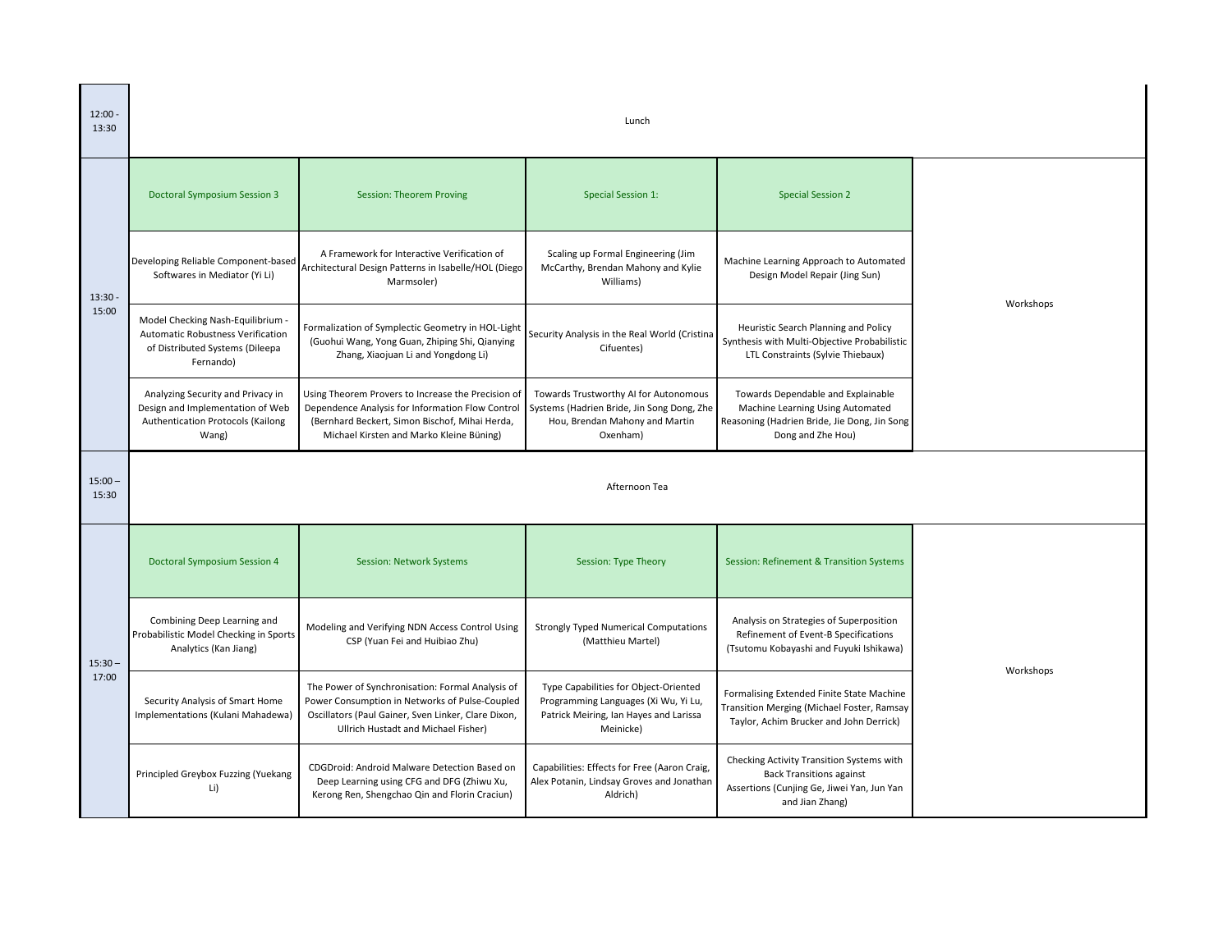| $12:00 -$<br>13:30 | Lunch                                                                                                                  |                                                                                                                                                                                                      |                                                                                                                                      |                                                                                                                                               |           |  |  |
|--------------------|------------------------------------------------------------------------------------------------------------------------|------------------------------------------------------------------------------------------------------------------------------------------------------------------------------------------------------|--------------------------------------------------------------------------------------------------------------------------------------|-----------------------------------------------------------------------------------------------------------------------------------------------|-----------|--|--|
| $13:30 -$<br>15:00 | <b>Doctoral Symposium Session 3</b>                                                                                    | Session: Theorem Proving                                                                                                                                                                             | <b>Special Session 1:</b>                                                                                                            | <b>Special Session 2</b>                                                                                                                      | Workshops |  |  |
|                    | Developing Reliable Component-based<br>Softwares in Mediator (Yi Li)                                                   | A Framework for Interactive Verification of<br>Architectural Design Patterns in Isabelle/HOL (Diego<br>Marmsoler)                                                                                    | Scaling up Formal Engineering (Jim<br>McCarthy, Brendan Mahony and Kylie<br>Williams)                                                | Machine Learning Approach to Automated<br>Design Model Repair (Jing Sun)                                                                      |           |  |  |
|                    | Model Checking Nash-Equilibrium -<br>Automatic Robustness Verification<br>of Distributed Systems (Dileepa<br>Fernando) | Formalization of Symplectic Geometry in HOL-Light<br>(Guohui Wang, Yong Guan, Zhiping Shi, Qianying<br>Zhang, Xiaojuan Li and Yongdong Li)                                                           | Security Analysis in the Real World (Cristina<br>Cifuentes)                                                                          | Heuristic Search Planning and Policy<br>Synthesis with Multi-Objective Probabilistic<br>LTL Constraints (Sylvie Thiebaux)                     |           |  |  |
|                    | Analyzing Security and Privacy in<br>Design and Implementation of Web<br>Authentication Protocols (Kailong<br>Wang)    | Using Theorem Provers to Increase the Precision of<br>Dependence Analysis for Information Flow Control<br>(Bernhard Beckert, Simon Bischof, Mihai Herda,<br>Michael Kirsten and Marko Kleine Büning) | Towards Trustworthy AI for Autonomous<br>Systems (Hadrien Bride, Jin Song Dong, Zhe<br>Hou, Brendan Mahony and Martin<br>Oxenham)    | Towards Dependable and Explainable<br>Machine Learning Using Automated<br>Reasoning (Hadrien Bride, Jie Dong, Jin Song<br>Dong and Zhe Hou)   |           |  |  |
| $15:00 -$<br>15:30 | Afternoon Tea                                                                                                          |                                                                                                                                                                                                      |                                                                                                                                      |                                                                                                                                               |           |  |  |
| $15:30 -$<br>17:00 | Doctoral Symposium Session 4                                                                                           | Session: Network Systems                                                                                                                                                                             | Session: Type Theory                                                                                                                 | Session: Refinement & Transition Systems                                                                                                      | Workshops |  |  |
|                    | Combining Deep Learning and<br>Probabilistic Model Checking in Sports<br>Analytics (Kan Jiang)                         | Modeling and Verifying NDN Access Control Using<br>CSP (Yuan Fei and Huibiao Zhu)                                                                                                                    | <b>Strongly Typed Numerical Computations</b><br>(Matthieu Martel)                                                                    | Analysis on Strategies of Superposition<br>Refinement of Event-B Specifications<br>(Tsutomu Kobayashi and Fuyuki Ishikawa)                    |           |  |  |
|                    | Security Analysis of Smart Home<br>Implementations (Kulani Mahadewa)                                                   | The Power of Synchronisation: Formal Analysis of<br>Power Consumption in Networks of Pulse-Coupled<br>Oscillators (Paul Gainer, Sven Linker, Clare Dixon,<br>Ullrich Hustadt and Michael Fisher)     | Type Capabilities for Object-Oriented<br>Programming Languages (Xi Wu, Yi Lu,<br>Patrick Meiring, Ian Hayes and Larissa<br>Meinicke) | Formalising Extended Finite State Machine<br>Transition Merging (Michael Foster, Ramsay<br>Taylor, Achim Brucker and John Derrick)            |           |  |  |
|                    | Principled Greybox Fuzzing (Yuekang<br>Li)                                                                             | CDGDroid: Android Malware Detection Based on<br>Deep Learning using CFG and DFG (Zhiwu Xu,<br>Kerong Ren, Shengchao Qin and Florin Craciun)                                                          | Capabilities: Effects for Free (Aaron Craig,<br>Alex Potanin, Lindsay Groves and Jonathan<br>Aldrich)                                | Checking Activity Transition Systems with<br><b>Back Transitions against</b><br>Assertions (Cunjing Ge, Jiwei Yan, Jun Yan<br>and Jian Zhang) |           |  |  |